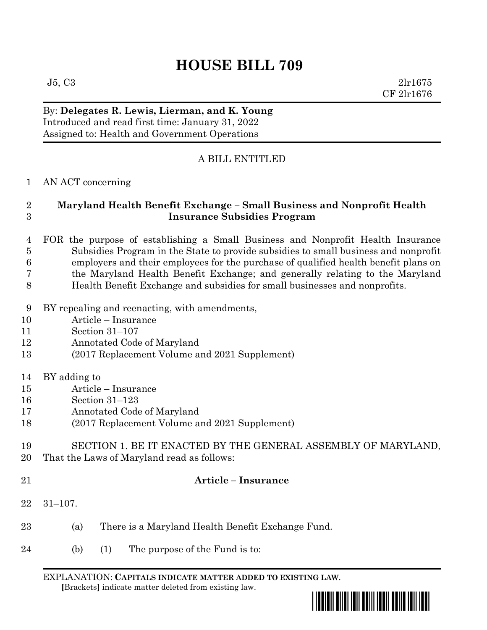# **HOUSE BILL 709**

 $J5, C3$  2lr1675 CF 2lr1676

## By: **Delegates R. Lewis, Lierman, and K. Young** Introduced and read first time: January 31, 2022 Assigned to: Health and Government Operations

# A BILL ENTITLED

## AN ACT concerning

## **Maryland Health Benefit Exchange – Small Business and Nonprofit Health Insurance Subsidies Program**

- FOR the purpose of establishing a Small Business and Nonprofit Health Insurance Subsidies Program in the State to provide subsidies to small business and nonprofit employers and their employees for the purchase of qualified health benefit plans on the Maryland Health Benefit Exchange; and generally relating to the Maryland
- Health Benefit Exchange and subsidies for small businesses and nonprofits.
- BY repealing and reenacting, with amendments,
- Article Insurance
- Section 31–107
- Annotated Code of Maryland
- (2017 Replacement Volume and 2021 Supplement)
- BY adding to
- Article Insurance
- Section 31–123
- Annotated Code of Maryland
- (2017 Replacement Volume and 2021 Supplement)
- SECTION 1. BE IT ENACTED BY THE GENERAL ASSEMBLY OF MARYLAND, That the Laws of Maryland read as follows:
- 

## **Article – Insurance**

- 31–107.
- (a) There is a Maryland Health Benefit Exchange Fund.
- 24 (b) (1) The purpose of the Fund is to:

EXPLANATION: **CAPITALS INDICATE MATTER ADDED TO EXISTING LAW**.  **[**Brackets**]** indicate matter deleted from existing law.

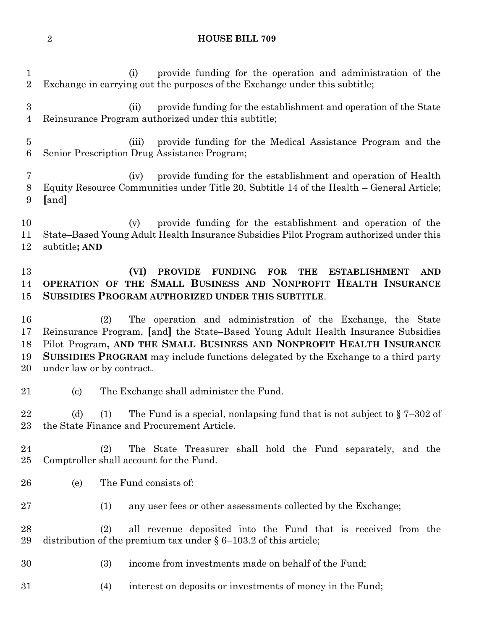### **HOUSE BILL 709**

 (i) provide funding for the operation and administration of the Exchange in carrying out the purposes of the Exchange under this subtitle; (ii) provide funding for the establishment and operation of the State Reinsurance Program authorized under this subtitle; (iii) provide funding for the Medical Assistance Program and the Senior Prescription Drug Assistance Program; (iv) provide funding for the establishment and operation of Health Equity Resource Communities under Title 20, Subtitle 14 of the Health – General Article; **[**and**]** (v) provide funding for the establishment and operation of the State–Based Young Adult Health Insurance Subsidies Pilot Program authorized under this subtitle**; AND (VI) PROVIDE FUNDING FOR THE ESTABLISHMENT AND OPERATION OF THE SMALL BUSINESS AND NONPROFIT HEALTH INSURANCE SUBSIDIES PROGRAM AUTHORIZED UNDER THIS SUBTITLE**. (2) The operation and administration of the Exchange, the State Reinsurance Program, **[**and**]** the State–Based Young Adult Health Insurance Subsidies Pilot Program**, AND THE SMALL BUSINESS AND NONPROFIT HEALTH INSURANCE SUBSIDIES PROGRAM** may include functions delegated by the Exchange to a third party under law or by contract. (c) The Exchange shall administer the Fund. 22 (d) (1) The Fund is a special, nonlapsing fund that is not subject to  $\S 7-302$  of the State Finance and Procurement Article. (2) The State Treasurer shall hold the Fund separately, and the Comptroller shall account for the Fund. (e) The Fund consists of: (1) any user fees or other assessments collected by the Exchange; (2) all revenue deposited into the Fund that is received from the 29 distribution of the premium tax under  $\S 6-103.2$  of this article; (3) income from investments made on behalf of the Fund; (4) interest on deposits or investments of money in the Fund;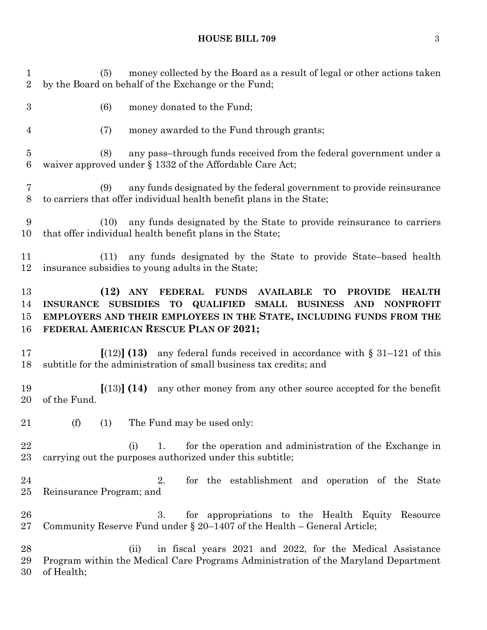(5) money collected by the Board as a result of legal or other actions taken by the Board on behalf of the Exchange or the Fund;

- (6) money donated to the Fund;
- (7) money awarded to the Fund through grants;
- (8) any pass–through funds received from the federal government under a waiver approved under § 1332 of the Affordable Care Act;
- (9) any funds designated by the federal government to provide reinsurance to carriers that offer individual health benefit plans in the State;
- (10) any funds designated by the State to provide reinsurance to carriers that offer individual health benefit plans in the State;
- (11) any funds designated by the State to provide State–based health insurance subsidies to young adults in the State;

## **(12) ANY FEDERAL FUNDS AVAILABLE TO PROVIDE HEALTH INSURANCE SUBSIDIES TO QUALIFIED SMALL BUSINESS AND NONPROFIT EMPLOYERS AND THEIR EMPLOYEES IN THE STATE, INCLUDING FUNDS FROM THE FEDERAL AMERICAN RESCUE PLAN OF 2021;**

- **[**(12)**] (13)** any federal funds received in accordance with § 31–121 of this subtitle for the administration of small business tax credits; and
- **[**(13)**] (14)** any other money from any other source accepted for the benefit of the Fund.
- 21 (f) (1) The Fund may be used only:
- 22 (i) 1. for the operation and administration of the Exchange in carrying out the purposes authorized under this subtitle;
- 2. for the establishment and operation of the State Reinsurance Program; and
- 3. for appropriations to the Health Equity Resource Community Reserve Fund under § 20–1407 of the Health – General Article;
- (ii) in fiscal years 2021 and 2022, for the Medical Assistance Program within the Medical Care Programs Administration of the Maryland Department of Health;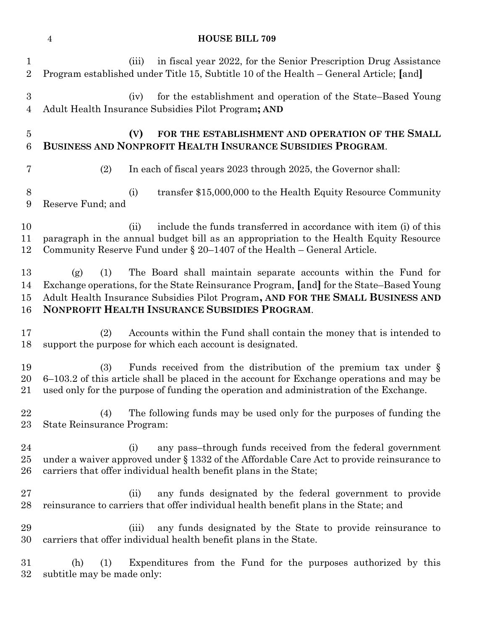## **HOUSE BILL 709**

| $\mathbf{1}$<br>$\overline{2}$     | in fiscal year 2022, for the Senior Prescription Drug Assistance<br>(iii)<br>Program established under Title 15, Subtitle 10 of the Health – General Article; [and]                                                                                                                                        |
|------------------------------------|------------------------------------------------------------------------------------------------------------------------------------------------------------------------------------------------------------------------------------------------------------------------------------------------------------|
| $\boldsymbol{3}$<br>$\overline{4}$ | for the establishment and operation of the State–Based Young<br>(iv)<br>Adult Health Insurance Subsidies Pilot Program; AND                                                                                                                                                                                |
| $\overline{5}$<br>6                | (V)<br>FOR THE ESTABLISHMENT AND OPERATION OF THE SMALL<br>BUSINESS AND NONPROFIT HEALTH INSURANCE SUBSIDIES PROGRAM.                                                                                                                                                                                      |
| 7                                  | In each of fiscal years 2023 through 2025, the Governor shall:<br>(2)                                                                                                                                                                                                                                      |
| 8<br>9                             | transfer \$15,000,000 to the Health Equity Resource Community<br>(i)<br>Reserve Fund; and                                                                                                                                                                                                                  |
| 10<br>11<br>12                     | include the funds transferred in accordance with item (i) of this<br>(ii)<br>paragraph in the annual budget bill as an appropriation to the Health Equity Resource<br>Community Reserve Fund under $\S 20-1407$ of the Health – General Article.                                                           |
| 13<br>14<br>15<br>16               | (1)<br>The Board shall maintain separate accounts within the Fund for<br>(g)<br>Exchange operations, for the State Reinsurance Program, [and] for the State–Based Young<br>Adult Health Insurance Subsidies Pilot Program, AND FOR THE SMALL BUSINESS AND<br>NONPROFIT HEALTH INSURANCE SUBSIDIES PROGRAM. |
| 17<br>18                           | Accounts within the Fund shall contain the money that is intended to<br>(2)<br>support the purpose for which each account is designated.                                                                                                                                                                   |
| 19<br>20<br>21                     | Funds received from the distribution of the premium tax under $\S$<br>(3)<br>6–103.2 of this article shall be placed in the account for Exchange operations and may be<br>used only for the purpose of funding the operation and administration of the Exchange.                                           |
| 22<br>$23\,$                       | The following funds may be used only for the purposes of funding the<br>(4)<br>State Reinsurance Program:                                                                                                                                                                                                  |
| 24<br>$25\,$<br>26                 | any pass-through funds received from the federal government<br>(i)<br>under a waiver approved under § 1332 of the Affordable Care Act to provide reinsurance to<br>carriers that offer individual health benefit plans in the State;                                                                       |
| $27\,$<br>28                       | any funds designated by the federal government to provide<br>(ii)<br>reinsurance to carriers that offer individual health benefit plans in the State; and                                                                                                                                                  |
| 29<br>30                           | any funds designated by the State to provide reinsurance to<br>(iii)<br>carriers that offer individual health benefit plans in the State.                                                                                                                                                                  |
| 31<br>$32\,$                       | Expenditures from the Fund for the purposes authorized by this<br>(h)<br>(1)<br>subtitle may be made only:                                                                                                                                                                                                 |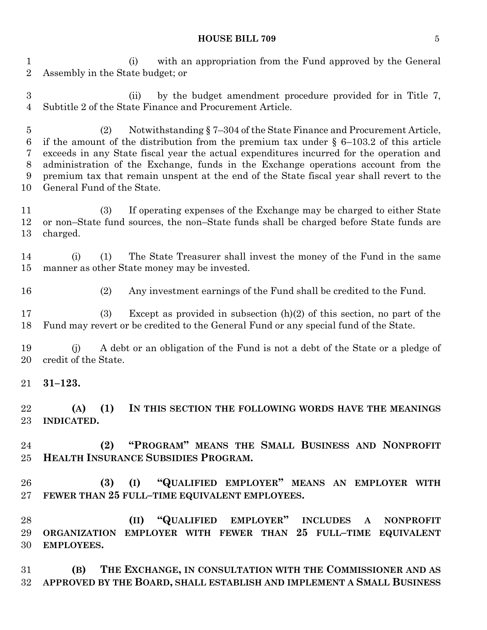#### **HOUSE BILL 709** 5

 (i) with an appropriation from the Fund approved by the General Assembly in the State budget; or

 (ii) by the budget amendment procedure provided for in Title 7, Subtitle 2 of the State Finance and Procurement Article.

 (2) Notwithstanding § 7–304 of the State Finance and Procurement Article, 6 if the amount of the distribution from the premium tax under  $\S$  6–103.2 of this article exceeds in any State fiscal year the actual expenditures incurred for the operation and administration of the Exchange, funds in the Exchange operations account from the premium tax that remain unspent at the end of the State fiscal year shall revert to the General Fund of the State.

 (3) If operating expenses of the Exchange may be charged to either State or non–State fund sources, the non–State funds shall be charged before State funds are charged.

 (i) (1) The State Treasurer shall invest the money of the Fund in the same manner as other State money may be invested.

(2) Any investment earnings of the Fund shall be credited to the Fund.

 (3) Except as provided in subsection (h)(2) of this section, no part of the Fund may revert or be credited to the General Fund or any special fund of the State.

 (j) A debt or an obligation of the Fund is not a debt of the State or a pledge of credit of the State.

**31–123.**

 **(A) (1) IN THIS SECTION THE FOLLOWING WORDS HAVE THE MEANINGS INDICATED.**

 **(2) "PROGRAM" MEANS THE SMALL BUSINESS AND NONPROFIT HEALTH INSURANCE SUBSIDIES PROGRAM.**

 **(3) (I) "QUALIFIED EMPLOYER" MEANS AN EMPLOYER WITH FEWER THAN 25 FULL–TIME EQUIVALENT EMPLOYEES.**

 **(II) "QUALIFIED EMPLOYER" INCLUDES A NONPROFIT ORGANIZATION EMPLOYER WITH FEWER THAN 25 FULL–TIME EQUIVALENT EMPLOYEES.**

 **(B) THE EXCHANGE, IN CONSULTATION WITH THE COMMISSIONER AND AS APPROVED BY THE BOARD, SHALL ESTABLISH AND IMPLEMENT A SMALL BUSINESS**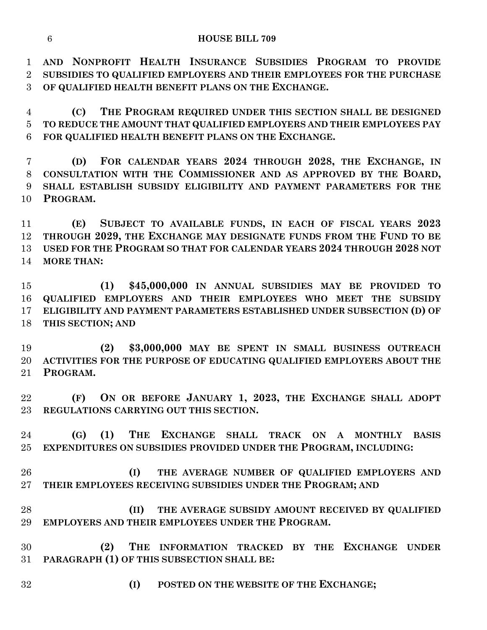**AND NONPROFIT HEALTH INSURANCE SUBSIDIES PROGRAM TO PROVIDE SUBSIDIES TO QUALIFIED EMPLOYERS AND THEIR EMPLOYEES FOR THE PURCHASE OF QUALIFIED HEALTH BENEFIT PLANS ON THE EXCHANGE.**

 **(C) THE PROGRAM REQUIRED UNDER THIS SECTION SHALL BE DESIGNED TO REDUCE THE AMOUNT THAT QUALIFIED EMPLOYERS AND THEIR EMPLOYEES PAY FOR QUALIFIED HEALTH BENEFIT PLANS ON THE EXCHANGE.**

 **(D) FOR CALENDAR YEARS 2024 THROUGH 2028, THE EXCHANGE, IN CONSULTATION WITH THE COMMISSIONER AND AS APPROVED BY THE BOARD, SHALL ESTABLISH SUBSIDY ELIGIBILITY AND PAYMENT PARAMETERS FOR THE PROGRAM.**

 **(E) SUBJECT TO AVAILABLE FUNDS, IN EACH OF FISCAL YEARS 2023 THROUGH 2029, THE EXCHANGE MAY DESIGNATE FUNDS FROM THE FUND TO BE USED FOR THE PROGRAM SO THAT FOR CALENDAR YEARS 2024 THROUGH 2028 NOT MORE THAN:**

 **(1) \$45,000,000 IN ANNUAL SUBSIDIES MAY BE PROVIDED TO QUALIFIED EMPLOYERS AND THEIR EMPLOYEES WHO MEET THE SUBSIDY ELIGIBILITY AND PAYMENT PARAMETERS ESTABLISHED UNDER SUBSECTION (D) OF THIS SECTION; AND**

 **(2) \$3,000,000 MAY BE SPENT IN SMALL BUSINESS OUTREACH ACTIVITIES FOR THE PURPOSE OF EDUCATING QUALIFIED EMPLOYERS ABOUT THE PROGRAM.**

 **(F) ON OR BEFORE JANUARY 1, 2023, THE EXCHANGE SHALL ADOPT REGULATIONS CARRYING OUT THIS SECTION.**

 **(G) (1) THE EXCHANGE SHALL TRACK ON A MONTHLY BASIS EXPENDITURES ON SUBSIDIES PROVIDED UNDER THE PROGRAM, INCLUDING:**

 **(I) THE AVERAGE NUMBER OF QUALIFIED EMPLOYERS AND THEIR EMPLOYEES RECEIVING SUBSIDIES UNDER THE PROGRAM; AND**

 **(II) THE AVERAGE SUBSIDY AMOUNT RECEIVED BY QUALIFIED EMPLOYERS AND THEIR EMPLOYEES UNDER THE PROGRAM.**

 **(2) THE INFORMATION TRACKED BY THE EXCHANGE UNDER PARAGRAPH (1) OF THIS SUBSECTION SHALL BE:**

**(I) POSTED ON THE WEBSITE OF THE EXCHANGE;**